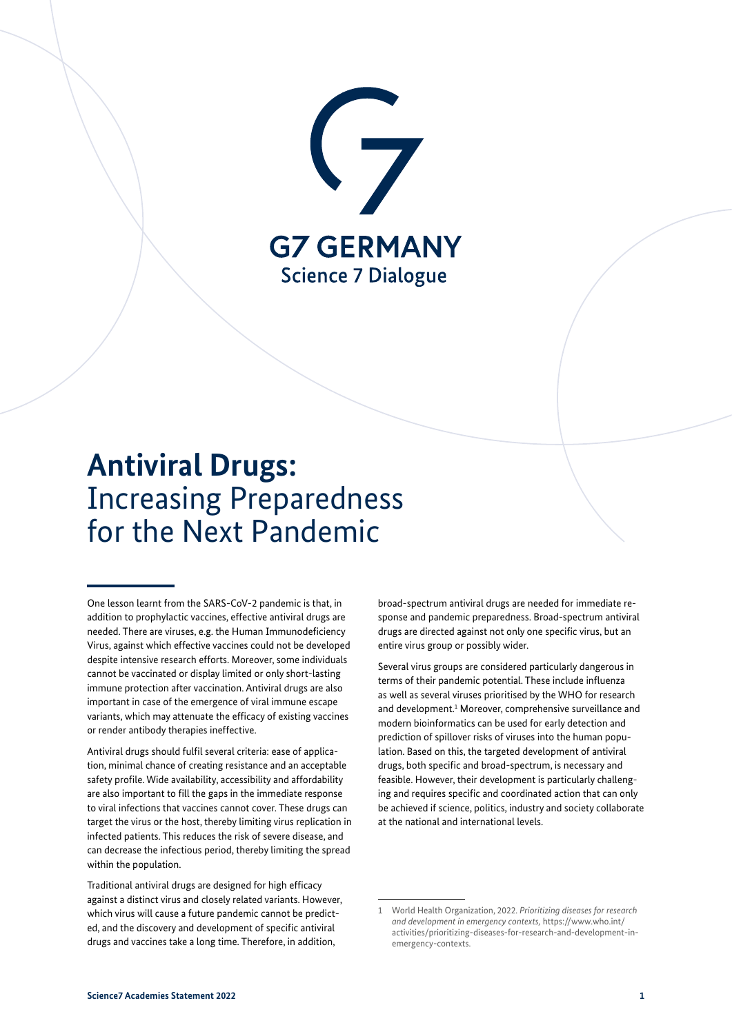

# **Antiviral Drugs:** Increasing Preparedness for the Next Pandemic

One lesson learnt from the SARS-CoV-2 pandemic is that, in addition to prophylactic vaccines, effective antiviral drugs are needed. There are viruses, e.g. the Human Immunodeficiency Virus, against which effective vaccines could not be developed despite intensive research efforts. Moreover, some individuals cannot be vaccinated or display limited or only short-lasting immune protection after vaccination. Antiviral drugs are also important in case of the emergence of viral immune escape variants, which may attenuate the efficacy of existing vaccines or render antibody therapies ineffective.

Antiviral drugs should fulfil several criteria: ease of application, minimal chance of creating resistance and an acceptable safety profile. Wide availability, accessibility and affordability are also important to fill the gaps in the immediate response to viral infections that vaccines cannot cover. These drugs can target the virus or the host, thereby limiting virus replication in infected patients. This reduces the risk of severe disease, and can decrease the infectious period, thereby limiting the spread within the population.

Traditional antiviral drugs are designed for high efficacy against a distinct virus and closely related variants. However, which virus will cause a future pandemic cannot be predicted, and the discovery and development of specific antiviral drugs and vaccines take a long time. Therefore, in addition,

broad-spectrum antiviral drugs are needed for immediate response and pandemic preparedness. Broad-spectrum antiviral drugs are directed against not only one specific virus, but an entire virus group or possibly wider.

Several virus groups are considered particularly dangerous in terms of their pandemic potential. These include influenza as well as several viruses prioritised by the WHO for research and development.<sup>1</sup> Moreover, comprehensive surveillance and modern bioinformatics can be used for early detection and prediction of spillover risks of viruses into the human population. Based on this, the targeted development of antiviral drugs, both specific and broad-spectrum, is necessary and feasible. However, their development is particularly challenging and requires specific and coordinated action that can only be achieved if science, politics, industry and society collaborate at the national and international levels.

<sup>1</sup> World Health Organization, 2022. *Prioritizing diseases for research and development in emergency contexts,* [https://www.who.int/](https://www.who.int/activities/prioritizing-diseases-for-research-and-development-in-emergency-contexts) [activities/prioritizing-diseases-for-research-and-development-in](https://www.who.int/activities/prioritizing-diseases-for-research-and-development-in-emergency-contexts)[emergency-contexts](https://www.who.int/activities/prioritizing-diseases-for-research-and-development-in-emergency-contexts).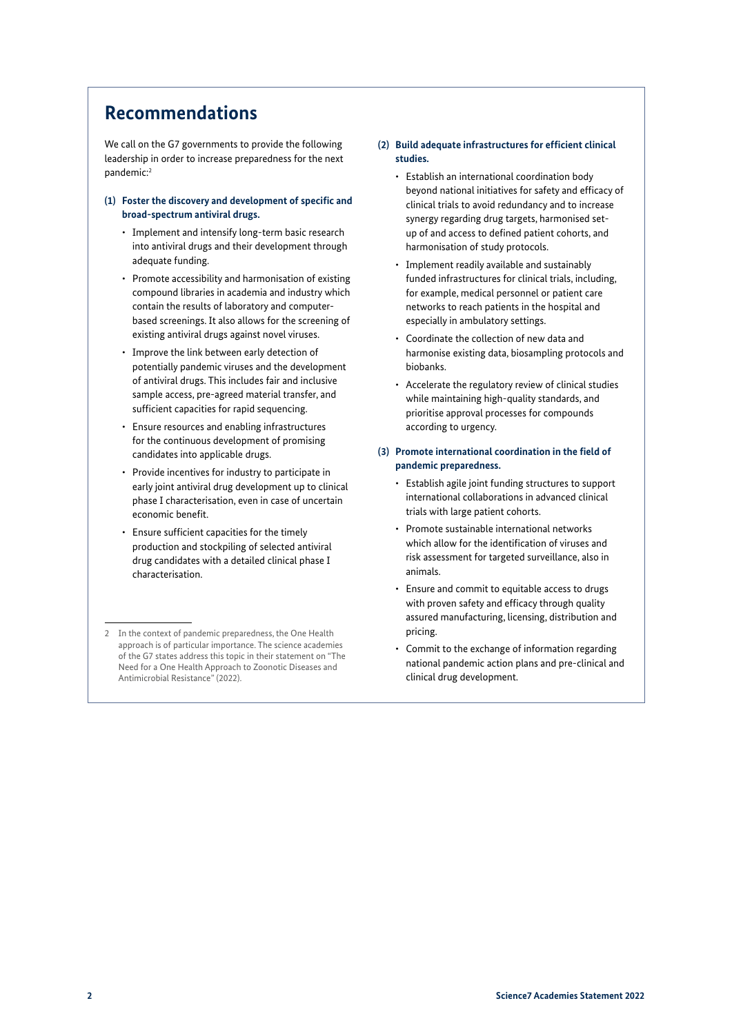### **Recommendations**

We call on the G7 governments to provide the following leadership in order to increase preparedness for the next pandemic:2

#### **(1) Foster the discovery and development of specific and broad-spectrum antiviral drugs.**

- Implement and intensify long-term basic research into antiviral drugs and their development through adequate funding.
- Promote accessibility and harmonisation of existing compound libraries in academia and industry which contain the results of laboratory and computerbased screenings. It also allows for the screening of existing antiviral drugs against novel viruses.
- Improve the link between early detection of potentially pandemic viruses and the development of antiviral drugs. This includes fair and inclusive sample access, pre-agreed material transfer, and sufficient capacities for rapid sequencing.
- Ensure resources and enabling infrastructures for the continuous development of promising candidates into applicable drugs.
- Provide incentives for industry to participate in early joint antiviral drug development up to clinical phase I characterisation, even in case of uncertain economic benefit.
- Ensure sufficient capacities for the timely production and stockpiling of selected antiviral drug candidates with a detailed clinical phase I characterisation.

#### **(2) Build adequate infrastructures for efficient clinical studies.**

- Establish an international coordination body beyond national initiatives for safety and efficacy of clinical trials to avoid redundancy and to increase synergy regarding drug targets, harmonised setup of and access to defined patient cohorts, and harmonisation of study protocols.
- Implement readily available and sustainably funded infrastructures for clinical trials, including, for example, medical personnel or patient care networks to reach patients in the hospital and especially in ambulatory settings.
- Coordinate the collection of new data and harmonise existing data, biosampling protocols and biobanks.
- Accelerate the regulatory review of clinical studies while maintaining high-quality standards, and prioritise approval processes for compounds according to urgency.
- **(3) Promote international coordination in the field of pandemic preparedness.**
	- Establish agile joint funding structures to support international collaborations in advanced clinical trials with large patient cohorts.
	- Promote sustainable international networks which allow for the identification of viruses and risk assessment for targeted surveillance, also in animals.
	- Ensure and commit to equitable access to drugs with proven safety and efficacy through quality assured manufacturing, licensing, distribution and pricing.
	- Commit to the exchange of information regarding national pandemic action plans and pre-clinical and clinical drug development.

<sup>2</sup> In the context of pandemic preparedness, the One Health approach is of particular importance. The science academies of the G7 states address this topic in their statement on "The Need for a One Health Approach to Zoonotic Diseases and Antimicrobial Resistance" (2022).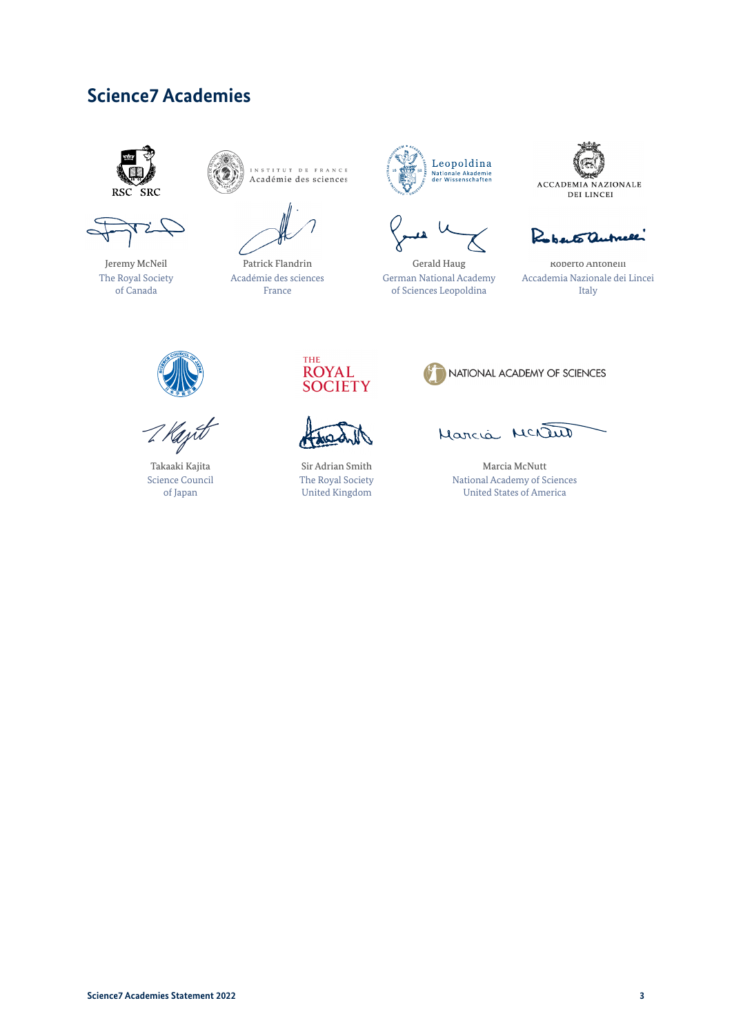## **Science7 Academies**



Jeremy McNeil The Royal Society of Canada



Patrick Flandrin Académie des sciences France



Gerald Haug German National Academy of Sciences Leopoldina



Roberto autrese

Roberto Antonelli Accademia Nazionale dei Lincei Italy



Takaaki Kajita Science Council of Japan





Sir Adrian Smith The Royal Society United Kingdom



Marcia MCNau

Marcia McNutt National Academy of Sciences United States of America